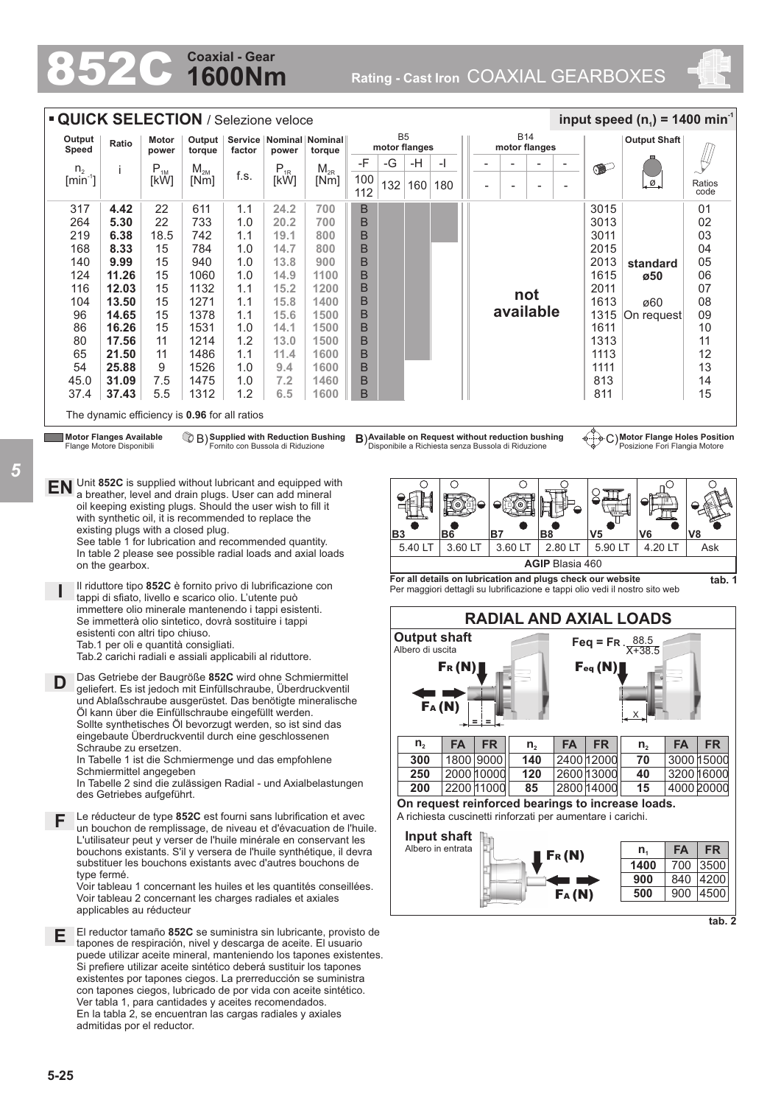## **1600Nm Coaxial - Gear**<br> **Coaxial - Gear**<br>
Rating - Cast Iron COAXIAL GEARBOXES



| Output                                              | Ratio                                                              | Motor            | Output                                                                                                                                                                                                                                                                                                                                       |        | Service   Nominal   Nominal      |                                                                                                                                                                                                           |           | B <sub>5</sub> |                                                                                                                                                                             |                                                             |  |            |               | <b>B14</b>     |                                                     |                                                                | <b>Output Shaft</b>                                             |                |
|-----------------------------------------------------|--------------------------------------------------------------------|------------------|----------------------------------------------------------------------------------------------------------------------------------------------------------------------------------------------------------------------------------------------------------------------------------------------------------------------------------------------|--------|----------------------------------|-----------------------------------------------------------------------------------------------------------------------------------------------------------------------------------------------------------|-----------|----------------|-----------------------------------------------------------------------------------------------------------------------------------------------------------------------------|-------------------------------------------------------------|--|------------|---------------|----------------|-----------------------------------------------------|----------------------------------------------------------------|-----------------------------------------------------------------|----------------|
| Speed                                               |                                                                    | power            | torque                                                                                                                                                                                                                                                                                                                                       | factor | power                            | torque                                                                                                                                                                                                    |           |                | motor flanges                                                                                                                                                               |                                                             |  |            | motor flanges |                |                                                     |                                                                |                                                                 |                |
| n <sub>2</sub><br>$\lceil \text{min}^{\neg} \rceil$ | j                                                                  | $P_{1M}$<br>[kW] | $\mathsf{M}_{\mathsf{2M}}$<br>[Nm]                                                                                                                                                                                                                                                                                                           | f.s.   | $P_{1R}$<br>[kW]                 | $M_{2R}$<br>[Nm]                                                                                                                                                                                          | -F<br>100 | -G<br>132      | -H<br>160 180                                                                                                                                                               | -1                                                          |  |            |               | $\overline{a}$ | $\overline{a}$<br>$\overline{a}$                    | $\bullet$                                                      | Ø.                                                              | Ratios<br>code |
|                                                     |                                                                    |                  |                                                                                                                                                                                                                                                                                                                                              |        |                                  |                                                                                                                                                                                                           | 112       |                |                                                                                                                                                                             |                                                             |  |            |               |                |                                                     |                                                                |                                                                 |                |
| 317                                                 | 4.42                                                               | 22               | 611                                                                                                                                                                                                                                                                                                                                          | 1.1    | 24.2                             | 700                                                                                                                                                                                                       | B         |                |                                                                                                                                                                             |                                                             |  |            |               |                |                                                     | 3015                                                           |                                                                 | 01             |
| 264                                                 | 5.30                                                               | 22               | 733                                                                                                                                                                                                                                                                                                                                          | 1.0    | 20.2                             | 700                                                                                                                                                                                                       | B         |                |                                                                                                                                                                             |                                                             |  |            |               |                |                                                     | 3013                                                           |                                                                 | 02             |
| 219                                                 | 6.38                                                               | 18.5             | 742                                                                                                                                                                                                                                                                                                                                          | 1.1    | 19.1                             | 800                                                                                                                                                                                                       | B         |                |                                                                                                                                                                             |                                                             |  |            |               |                |                                                     | 3011                                                           |                                                                 | 03             |
| 168                                                 | 8.33                                                               | 15               | 784                                                                                                                                                                                                                                                                                                                                          | 1.0    | 14.7                             | 800                                                                                                                                                                                                       | B         |                |                                                                                                                                                                             |                                                             |  |            |               |                |                                                     | 2015                                                           |                                                                 | 04             |
| 140                                                 | 9.99                                                               | 15               | 940                                                                                                                                                                                                                                                                                                                                          | 1.0    | 13.8                             | 900                                                                                                                                                                                                       | B         |                |                                                                                                                                                                             |                                                             |  |            |               |                |                                                     | 2013                                                           | standard                                                        | 05             |
| 124                                                 | 11.26                                                              | 15               | 1060                                                                                                                                                                                                                                                                                                                                         | 1.0    | 14.9                             | 1100                                                                                                                                                                                                      | B         |                |                                                                                                                                                                             |                                                             |  |            |               |                |                                                     | 1615                                                           | ø50                                                             | 06             |
| 116                                                 | 12.03                                                              | 15               | 1132                                                                                                                                                                                                                                                                                                                                         | 1.1    | 15.2                             | 1200                                                                                                                                                                                                      | B         |                |                                                                                                                                                                             |                                                             |  |            |               | not            |                                                     | 2011                                                           |                                                                 | 07             |
| 104                                                 | 13.50                                                              | 15               | 1271                                                                                                                                                                                                                                                                                                                                         | 1.1    | 15.8                             | 1400                                                                                                                                                                                                      | B         |                |                                                                                                                                                                             |                                                             |  |            |               |                |                                                     | 1613                                                           | ø60                                                             | 08             |
| 96                                                  | 14.65                                                              | 15               | 1378                                                                                                                                                                                                                                                                                                                                         | 1.1    | 15.6                             | 1500                                                                                                                                                                                                      | B         |                |                                                                                                                                                                             |                                                             |  |            | available     |                |                                                     | 1315                                                           | On request                                                      | 09             |
| 86                                                  | 16.26                                                              | 15               | 1531                                                                                                                                                                                                                                                                                                                                         | 1.0    | 14.1                             | 1500                                                                                                                                                                                                      | B         |                |                                                                                                                                                                             |                                                             |  |            |               |                |                                                     | 1611                                                           |                                                                 | 10             |
| 80                                                  | 17.56                                                              | 11               | 1214                                                                                                                                                                                                                                                                                                                                         | 1.2    | 13.0                             | 1500                                                                                                                                                                                                      | B         |                |                                                                                                                                                                             |                                                             |  |            |               |                |                                                     | 1313                                                           |                                                                 | 11             |
| 65                                                  | 21.50                                                              | 11               | 1486                                                                                                                                                                                                                                                                                                                                         | 1.1    | 11.4                             | 1600                                                                                                                                                                                                      | B         |                |                                                                                                                                                                             |                                                             |  |            |               |                |                                                     | 1113                                                           |                                                                 | 12             |
| 54                                                  | 25.88                                                              | 9                | 1526                                                                                                                                                                                                                                                                                                                                         | 1.0    | 9.4                              | 1600                                                                                                                                                                                                      | B         |                |                                                                                                                                                                             |                                                             |  |            |               |                |                                                     | 1111                                                           |                                                                 | 13             |
| 45.0                                                | 31.09                                                              | 7.5              | 1475                                                                                                                                                                                                                                                                                                                                         | 1.0    | 7.2                              | 1460                                                                                                                                                                                                      | B         |                |                                                                                                                                                                             |                                                             |  |            |               |                |                                                     | 813                                                            |                                                                 | 14             |
| 37.4                                                |                                                                    |                  |                                                                                                                                                                                                                                                                                                                                              | 1.2    |                                  |                                                                                                                                                                                                           | B         |                |                                                                                                                                                                             |                                                             |  |            |               |                |                                                     |                                                                |                                                                 | 15             |
|                                                     | 37.43                                                              | 5.5              | 1312                                                                                                                                                                                                                                                                                                                                         |        | 6.5                              | 1600                                                                                                                                                                                                      |           |                |                                                                                                                                                                             |                                                             |  |            |               |                |                                                     | 811                                                            |                                                                 |                |
| <b>EN</b>                                           | <b>Motor Flanges Available</b><br>Flange Motore Disponibili        |                  | Unit 852C is supplied without lubricant and equipped with                                                                                                                                                                                                                                                                                    |        | Fornito con Bussola di Riduzione | ◯⑦ B Supplied with Reduction Bushing                                                                                                                                                                      |           |                | B) Available on Request without reduction bushing<br>Disponibile a Richiesta senza Bussola di Riduzione<br>( )                                                              | О                                                           |  |            | O             |                |                                                     |                                                                | C) Motor Flange Holes Position<br>Posizione Fori Flangia Motore |                |
|                                                     | on the gearbox.                                                    |                  | a breather, level and drain plugs. User can add mineral<br>oil keeping existing plugs. Should the user wish to fill it<br>with synthetic oil, it is recommended to replace the<br>existing plugs with a closed plug.<br>See table 1 for lubrication and recommended quantity.<br>In table 2 please see possible radial loads and axial loads |        |                                  |                                                                                                                                                                                                           |           | B <sub>3</sub> | 5.40 LT                                                                                                                                                                     | <b>B6</b><br>3.60 LT                                        |  | <b>B7</b>  | 3.60 LT       |                | B <sub>8</sub><br>2.80 LT<br><b>AGIP Blasia 460</b> | V5<br>5.90 LT                                                  | V6<br>4.20 LT                                                   | V8<br>Ask      |
|                                                     |                                                                    |                  | Il riduttore tipo 852C è fornito privo di lubrificazione con<br>tappi di sfiato, livello e scarico olio. L'utente può                                                                                                                                                                                                                        |        |                                  |                                                                                                                                                                                                           |           |                | For all details on lubrication and plugs check our website<br>Per maggiori dettagli su lubrificazione e tappi olio vedi il nostro sito web<br><b>RADIAL AND AXIAL LOADS</b> |                                                             |  |            |               |                | tab. 1                                              |                                                                |                                                                 |                |
|                                                     |                                                                    |                  | immettere olio minerale mantenendo i tappi esistenti.<br>Se immetterà olio sintetico, dovrà sostituire i tappi                                                                                                                                                                                                                               |        |                                  |                                                                                                                                                                                                           |           |                |                                                                                                                                                                             |                                                             |  |            |               |                |                                                     |                                                                |                                                                 |                |
|                                                     | esistenti con altri tipo chiuso.                                   |                  | Tab.1 per oli e quantità consigliati.<br>Tab.2 carichi radiali e assiali applicabili al riduttore.                                                                                                                                                                                                                                           |        |                                  |                                                                                                                                                                                                           |           |                | <b>Output shaft</b><br>Albero di uscita                                                                                                                                     |                                                             |  |            |               |                |                                                     | Feg = FR. $88.5$                                               | $X+38.5$                                                        |                |
|                                                     | Schraube zu ersetzen.                                              |                  | Öl kann über die Einfüllschraube eingefüllt werden.<br>Sollte synthetisches Öl bevorzugt werden, so ist sind das<br>eingebaute Überdruckventil durch eine geschlossenen                                                                                                                                                                      |        |                                  | Das Getriebe der Baugröße 852C wird ohne Schmiermittel<br>geliefert. Es ist jedoch mit Einfüllschraube, Überdruckventil<br>und Ablaßschraube ausgerüstet. Das benötigte mineralische                      |           |                | $n_{2}$                                                                                                                                                                     | $\mathsf{F}_{\mathsf{R}}(\mathsf{N})$<br>FA(N)<br><b>FA</b> |  | <b>FR</b>  |               | $n_{2}$        | <b>FA</b>                                           | $\mathsf{F}_{\textsf{eq}}\left(\mathsf{N}\right)$<br><b>FR</b> | <b>FA</b><br>$n_{2}$                                            | <b>FR</b>      |
|                                                     |                                                                    |                  | In Tabelle 1 ist die Schmiermenge und das empfohlene                                                                                                                                                                                                                                                                                         |        |                                  |                                                                                                                                                                                                           |           |                | 300                                                                                                                                                                         |                                                             |  | 1800 9000  |               | 140            |                                                     | 2400 12000                                                     | 70                                                              | 3000 15000     |
|                                                     | Schmiermittel angegeben                                            |                  |                                                                                                                                                                                                                                                                                                                                              |        |                                  |                                                                                                                                                                                                           |           |                | 250                                                                                                                                                                         |                                                             |  | 2000 10000 |               | 120            |                                                     | 2600 13000                                                     | 40                                                              | 3200 16000     |
|                                                     |                                                                    |                  |                                                                                                                                                                                                                                                                                                                                              |        |                                  | In Tabelle 2 sind die zulässigen Radial - und Axialbelastungen                                                                                                                                            |           |                | 200                                                                                                                                                                         |                                                             |  | 2200 11000 |               | 85             |                                                     | 2800 14000                                                     | 15                                                              | 4000 20000     |
|                                                     | des Getriebes aufgeführt.                                          |                  |                                                                                                                                                                                                                                                                                                                                              |        |                                  |                                                                                                                                                                                                           |           |                |                                                                                                                                                                             |                                                             |  |            |               |                |                                                     |                                                                |                                                                 |                |
|                                                     |                                                                    |                  |                                                                                                                                                                                                                                                                                                                                              |        |                                  | Le réducteur de type 852C est fourni sans lubrification et avec                                                                                                                                           |           |                |                                                                                                                                                                             |                                                             |  |            |               |                |                                                     | A richiesta cuscinetti rinforzati per aumentare i carichi.     | On request reinforced bearings to increase loads.               |                |
| F                                                   |                                                                    |                  |                                                                                                                                                                                                                                                                                                                                              |        |                                  | un bouchon de remplissage, de niveau et d'évacuation de l'huile.                                                                                                                                          |           |                |                                                                                                                                                                             |                                                             |  |            |               |                |                                                     |                                                                |                                                                 |                |
|                                                     |                                                                    |                  |                                                                                                                                                                                                                                                                                                                                              |        |                                  | L'utilisateur peut y verser de l'huile minérale en conservant les                                                                                                                                         |           |                | Input shaft                                                                                                                                                                 |                                                             |  |            |               |                |                                                     |                                                                |                                                                 |                |
|                                                     |                                                                    |                  |                                                                                                                                                                                                                                                                                                                                              |        |                                  | bouchons existants. S'il y versera de l'huile synthétique, il devra                                                                                                                                       |           |                | Albero in entrata                                                                                                                                                           |                                                             |  |            |               |                |                                                     |                                                                | <b>FA</b><br>$n_{1}$                                            | <b>FR</b>      |
|                                                     |                                                                    |                  |                                                                                                                                                                                                                                                                                                                                              |        |                                  | substituer les bouchons existants avec d'autres bouchons de                                                                                                                                               |           |                |                                                                                                                                                                             |                                                             |  |            |               |                | Fr (N)                                              |                                                                | 1400<br>700                                                     | 3500           |
|                                                     | type fermé.                                                        |                  |                                                                                                                                                                                                                                                                                                                                              |        |                                  |                                                                                                                                                                                                           |           |                |                                                                                                                                                                             |                                                             |  |            |               |                |                                                     |                                                                | 900<br>840                                                      | 4200           |
|                                                     |                                                                    |                  |                                                                                                                                                                                                                                                                                                                                              |        |                                  | Voir tableau 1 concernant les huiles et les quantités conseillées.                                                                                                                                        |           |                |                                                                                                                                                                             |                                                             |  |            |               |                |                                                     |                                                                | 900<br>500                                                      | 4500           |
|                                                     |                                                                    |                  | Voir tableau 2 concernant les charges radiales et axiales                                                                                                                                                                                                                                                                                    |        |                                  |                                                                                                                                                                                                           |           |                |                                                                                                                                                                             |                                                             |  |            |               |                | FA(N)                                               |                                                                |                                                                 |                |
|                                                     | applicables au réducteur                                           |                  |                                                                                                                                                                                                                                                                                                                                              |        |                                  |                                                                                                                                                                                                           |           |                |                                                                                                                                                                             |                                                             |  |            |               |                |                                                     |                                                                |                                                                 | tab. 2         |
| Е                                                   | Si prefiere utilizar aceite sintético deberá sustituir los tapones |                  |                                                                                                                                                                                                                                                                                                                                              |        |                                  | El reductor tamaño 852C se suministra sin lubricante, provisto de<br>tapones de respiración, nivel y descarga de aceite. El usuario<br>puede utilizar aceite mineral, manteniendo los tapones existentes. |           |                |                                                                                                                                                                             |                                                             |  |            |               |                |                                                     |                                                                |                                                                 |                |

*5*

admitidas por el reductor.